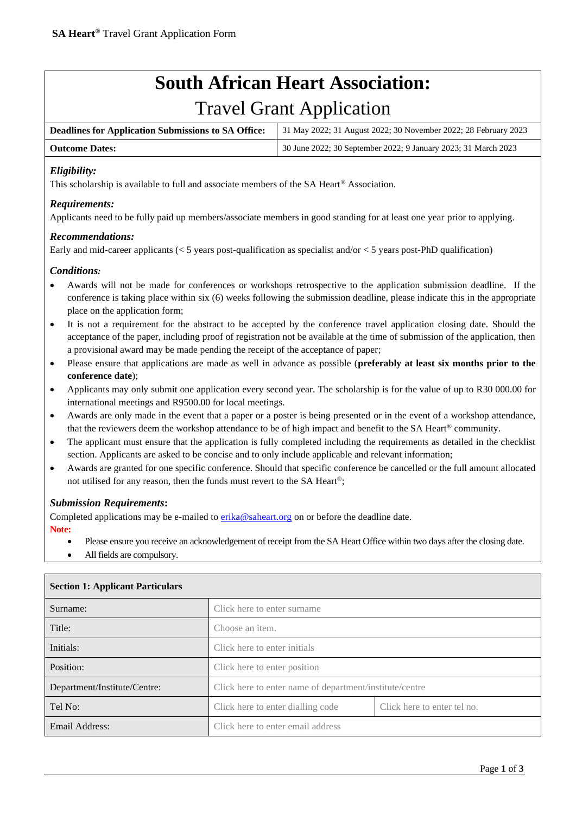# **South African Heart Association:**

## Travel Grant Application

| <b>Deadlines for Application Submissions to SA Office:</b> | 31 May 2022; 31 August 2022; 30 November 2022; 28 February 2023  |
|------------------------------------------------------------|------------------------------------------------------------------|
| <b>Outcome Dates:</b>                                      | 1 30 June 2022; 30 September 2022; 9 January 2023; 31 March 2023 |

#### *Eligibility:*

This scholarship is available to full and associate members of the SA Heart® Association.

#### *Requirements:*

Applicants need to be fully paid up members/associate members in good standing for at least one year prior to applying.

#### *Recommendations:*

Early and mid-career applicants ( $\lt 5$  years post-qualification as specialist and/or  $\lt 5$  years post-PhD qualification)

#### *Conditions:*

- Awards will not be made for conferences or workshops retrospective to the application submission deadline. If the conference is taking place within six (6) weeks following the submission deadline, please indicate this in the appropriate place on the application form;
- It is not a requirement for the abstract to be accepted by the conference travel application closing date. Should the acceptance of the paper, including proof of registration not be available at the time of submission of the application, then a provisional award may be made pending the receipt of the acceptance of paper;
- Please ensure that applications are made as well in advance as possible (**preferably at least six months prior to the conference date**);
- Applicants may only submit one application every second year. The scholarship is for the value of up to R30 000.00 for international meetings and R9500.00 for local meetings.
- Awards are only made in the event that a paper or a poster is being presented or in the event of a workshop attendance, that the reviewers deem the workshop attendance to be of high impact and benefit to the SA Heart® community.
- The applicant must ensure that the application is fully completed including the requirements as detailed in the checklist section. Applicants are asked to be concise and to only include applicable and relevant information;
- Awards are granted for one specific conference. Should that specific conference be cancelled or the full amount allocated not utilised for any reason, then the funds must revert to the SA Heart®;

#### *Submission Requirements***:**

Completed applications may be e-mailed to [erika@saheart.org](mailto:researchfunding@uct.ac.zao) on or before the deadline date.

**Note:**

- Please ensure you receive an acknowledgement of receipt from the SA Heart Office within two days after the closing date.
- All fields are compulsory.

| Surname:                     | Click here to enter surname                             |                             |  |
|------------------------------|---------------------------------------------------------|-----------------------------|--|
| Title:                       | Choose an item.                                         |                             |  |
| Initials:                    | Click here to enter initials                            |                             |  |
| Position:                    | Click here to enter position                            |                             |  |
| Department/Institute/Centre: | Click here to enter name of department/institute/centre |                             |  |
| Tel No:                      | Click here to enter dialling code                       | Click here to enter tel no. |  |
| Email Address:               | Click here to enter email address                       |                             |  |

#### **Section 1: Applicant Particulars**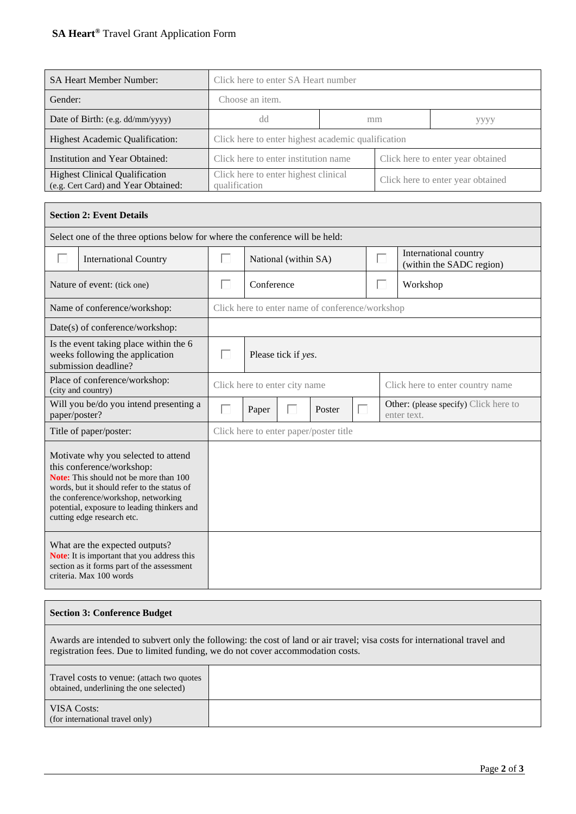## **SA Heart®** Travel Grant Application Form

| <b>SA Heart Member Number:</b>                                               | Click here to enter SA Heart number                   |  |                                   |      |  |  |
|------------------------------------------------------------------------------|-------------------------------------------------------|--|-----------------------------------|------|--|--|
| Gender:                                                                      | Choose an item.                                       |  |                                   |      |  |  |
| Date of Birth: (e.g. dd/mm/yyyy)                                             | dd                                                    |  | mm                                | уууу |  |  |
| <b>Highest Academic Qualification:</b>                                       | Click here to enter highest academic qualification    |  |                                   |      |  |  |
| Institution and Year Obtained:                                               | Click here to enter institution name                  |  | Click here to enter year obtained |      |  |  |
| <b>Highest Clinical Qualification</b><br>(e.g. Cert Card) and Year Obtained: | Click here to enter highest clinical<br>qualification |  | Click here to enter year obtained |      |  |  |

| <b>Section 2: Event Details</b>                                              |                                                                                                                                                                                                                                                                               |                                                                                               |                                                                                |  |                                                 |  |  |  |
|------------------------------------------------------------------------------|-------------------------------------------------------------------------------------------------------------------------------------------------------------------------------------------------------------------------------------------------------------------------------|-----------------------------------------------------------------------------------------------|--------------------------------------------------------------------------------|--|-------------------------------------------------|--|--|--|
| Select one of the three options below for where the conference will be held: |                                                                                                                                                                                                                                                                               |                                                                                               |                                                                                |  |                                                 |  |  |  |
| П                                                                            | <b>International Country</b>                                                                                                                                                                                                                                                  | П                                                                                             | International country<br>ш<br>National (within SA)<br>(within the SADC region) |  |                                                 |  |  |  |
|                                                                              | Nature of event: (tick one)                                                                                                                                                                                                                                                   | Conference<br>H<br>Workshop<br>I.                                                             |                                                                                |  |                                                 |  |  |  |
|                                                                              | Name of conference/workshop:                                                                                                                                                                                                                                                  |                                                                                               |                                                                                |  | Click here to enter name of conference/workshop |  |  |  |
|                                                                              | Date(s) of conference/workshop:                                                                                                                                                                                                                                               |                                                                                               |                                                                                |  |                                                 |  |  |  |
|                                                                              | Is the event taking place within the 6<br>weeks following the application<br>submission deadline?                                                                                                                                                                             | п<br>Please tick if yes.                                                                      |                                                                                |  |                                                 |  |  |  |
|                                                                              | Place of conference/workshop:<br>(city and country)                                                                                                                                                                                                                           | Click here to enter city name                                                                 |                                                                                |  | Click here to enter country name                |  |  |  |
| paper/poster?                                                                | Will you be/do you intend presenting a                                                                                                                                                                                                                                        | <b>Other:</b> (please specify) Click here to<br>П<br>П<br>Poster<br>Paper<br>H<br>enter text. |                                                                                |  |                                                 |  |  |  |
|                                                                              | Title of paper/poster:                                                                                                                                                                                                                                                        | Click here to enter paper/poster title                                                        |                                                                                |  |                                                 |  |  |  |
|                                                                              | Motivate why you selected to attend<br>this conference/workshop:<br>Note: This should not be more than 100<br>words, but it should refer to the status of<br>the conference/workshop, networking<br>potential, exposure to leading thinkers and<br>cutting edge research etc. |                                                                                               |                                                                                |  |                                                 |  |  |  |
|                                                                              |                                                                                                                                                                                                                                                                               |                                                                                               |                                                                                |  |                                                 |  |  |  |

### **Section 3: Conference Budget**

Awards are intended to subvert only the following: the cost of land or air travel; visa costs for international travel and registration fees. Due to limited funding, we do not cover accommodation costs.

| Travel costs to venue: (attach two quotes)<br>obtained, underlining the one selected) |  |
|---------------------------------------------------------------------------------------|--|
| <b>VISA Costs:</b><br>(for international travel only)                                 |  |